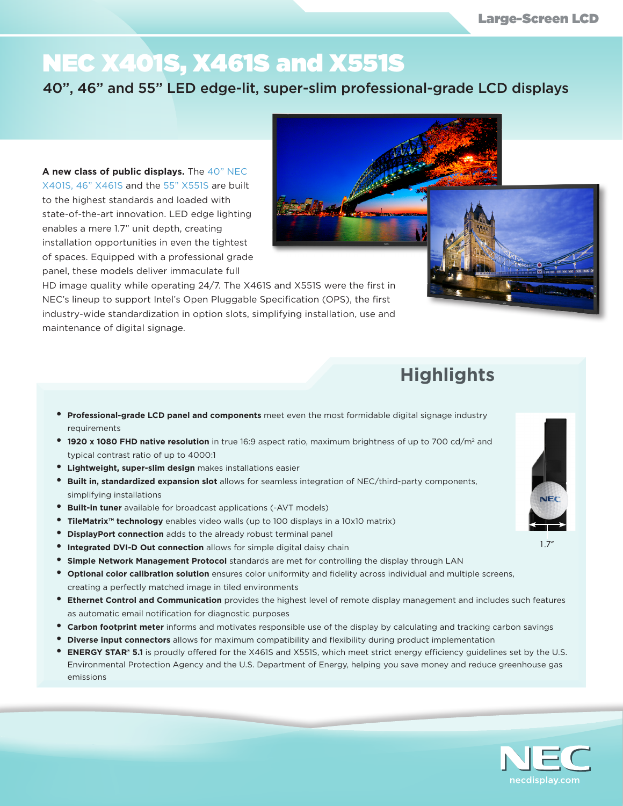## NEC X401S, X461S and X551S

40", 46" and 55" LED edge-lit, super-slim professional-grade LCD displays

**A new class of public displays.** The 40" NEC X401S, 46" X461S and the 55" X551S are built to the highest standards and loaded with state-of-the-art innovation. LED edge lighting enables a mere 1.7" unit depth, creating installation opportunities in even the tightest of spaces. Equipped with a professional grade panel, these models deliver immaculate full

HD image quality while operating 24/7. The X461S and X551S were the first in NEC's lineup to support Intel's Open Pluggable Specification (OPS), the first industry-wide standardization in option slots, simplifying installation, use and maintenance of digital signage.

- **• Professional-grade LCD panel and components** meet even the most formidable digital signage industry requirements
- **• 1920 x 1080 FHD native resolution** in true 16:9 aspect ratio, maximum brightness of up to 700 cd/m2 and typical contrast ratio of up to 4000:1
- **• Lightweight, super-slim design** makes installations easier
- **• Built in, standardized expansion slot** allows for seamless integration of NEC/third-party components, simplifying installations
- **• Built-in tuner** available for broadcast applications (-AVT models)
- **• TileMatrix™ technology** enables video walls (up to 100 displays in a 10x10 matrix)
- **• DisplayPort connection** adds to the already robust terminal panel
- **• Integrated DVI-D Out connection** allows for simple digital daisy chain
- **• Simple Network Management Protocol** standards are met for controlling the display through LAN
- **• Optional color calibration solution** ensures color uniformity and fidelity across individual and multiple screens, creating a perfectly matched image in tiled environments
- **• Ethernet Control and Communication** provides the highest level of remote display management and includes such features as automatic email notification for diagnostic purposes
- **• Carbon footprint meter** informs and motivates responsible use of the display by calculating and tracking carbon savings
- **• Diverse input connectors** allows for maximum compatibility and flexibility during product implementation
- **• ENERGY STAR**® **5.1** is proudly offered for the X461S and X551S, which meet strict energy efficiency guidelines set by the U.S. Environmental Protection Agency and the U.S. Department of Energy, helping you save money and reduce greenhouse gas emissions